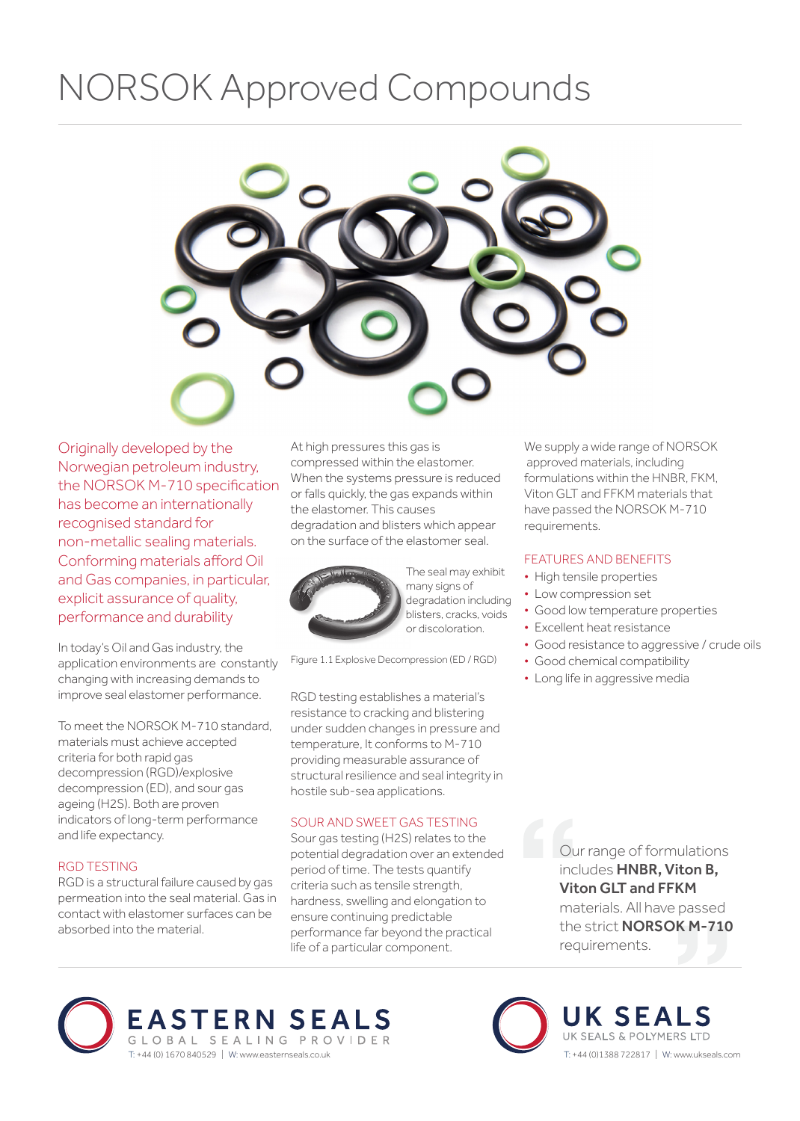## NORSOK Approved Compounds



Originally developed by the Norwegian petroleum industry, the NORSOK M-710 specification has become an internationally recognised standard for non-metallic sealing materials. Conforming materials afford Oil and Gas companies, in particular, explicit assurance of quality, performance and durability

In today's Oil and Gas industry, the application environments are constantly changing with increasing demands to improve seal elastomer performance.

To meet the NORSOK M-710 standard, materials must achieve accepted criteria for both rapid gas decompression (RGD)/explosive decompression (ED), and sour gas ageing (H2S). Both are proven indicators of long-term performance and life expectancy.

### RGD TESTING

RGD is a structural failure caused by gas permeation into the seal material. Gas in contact with elastomer surfaces can be absorbed into the material.

At high pressures this gas is compressed within the elastomer. When the systems pressure is reduced or falls quickly, the gas expands within the elastomer. This causes degradation and blisters which appear on the surface of the elastomer seal.



The seal may exhibit many signs of degradation including blisters, cracks, voids or discoloration.

Figure 1.1 Explosive Decompression (ED / RGD)

RGD testing establishes a material's resistance to cracking and blistering under sudden changes in pressure and temperature, It conforms to M-710 providing measurable assurance of structural resilience and seal integrity in hostile sub-sea applications.

#### SOUR AND SWEET GAS TESTING

Sour gas testing (H2S) relates to the potential degradation over an extended period of time. The tests quantify criteria such as tensile strength, hardness, swelling and elongation to ensure continuing predictable performance far beyond the practical life of a particular component.

We supply a wide range of NORSOK approved materials, including formulations within the HNBR, FKM, Viton GLT and FFKM materials that have passed the NORSOK M-710 requirements.

#### FEATURES AND BENEFITS

- High tensile properties
- Low compression set
- Good low temperature properties
- Excellent heat resistance
- Good resistance to aggressive / crude oils
- Good chemical compatibility
- Long life in aggressive media

Our range of formulations includes HNBR, Viton B, Viton GLT and FFKM materials. All have passed the strict **NORSOK M-710** requirements.





UK SEALS UK SEALS & POLYMERS LTD